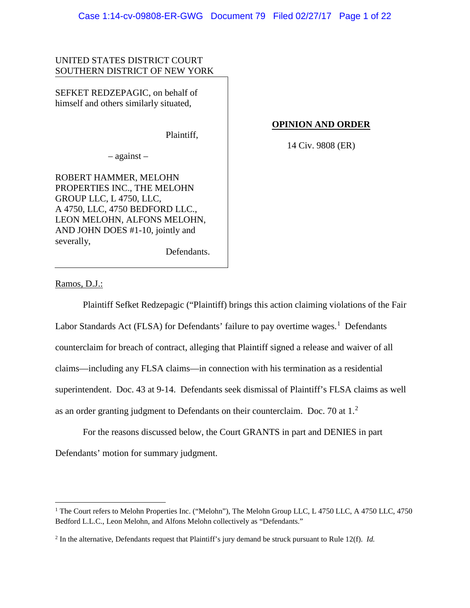## UNITED STATES DISTRICT COURT SOUTHERN DISTRICT OF NEW YORK

SEFKET REDZEPAGIC, on behalf of himself and others similarly situated,

Plaintiff,

## **OPINION AND ORDER**

14 Civ. 9808 (ER)

– against –

ROBERT HAMMER, MELOHN PROPERTIES INC., THE MELOHN GROUP LLC, L 4750, LLC, A 4750, LLC, 4750 BEDFORD LLC., LEON MELOHN, ALFONS MELOHN, AND JOHN DOES #1-10, jointly and severally,

Defendants.

Ramos, D.J.:

Plaintiff Sefket Redzepagic ("Plaintiff) brings this action claiming violations of the Fair Labor Standards Act (FLSA) for Defendants' failure to pay overtime wages.<sup>[1](#page-0-0)</sup> Defendants counterclaim for breach of contract, alleging that Plaintiff signed a release and waiver of all claims—including any FLSA claims—in connection with his termination as a residential superintendent. Doc. 43 at 9-14. Defendants seek dismissal of Plaintiff's FLSA claims as well as an order granting judgment to Defendants on their counterclaim. Doc. 70 at  $1<sup>2</sup>$  $1<sup>2</sup>$  $1<sup>2</sup>$ 

For the reasons discussed below, the Court GRANTS in part and DENIES in part Defendants' motion for summary judgment.

<span id="page-0-0"></span><sup>&</sup>lt;sup>1</sup> The Court refers to Melohn Properties Inc. ("Melohn"), The Melohn Group LLC, L 4750 LLC, A 4750 LLC, 4750 Bedford L.L.C., Leon Melohn, and Alfons Melohn collectively as "Defendants."

<span id="page-0-1"></span><sup>2</sup> In the alternative, Defendants request that Plaintiff's jury demand be struck pursuant to Rule 12(f). *Id.*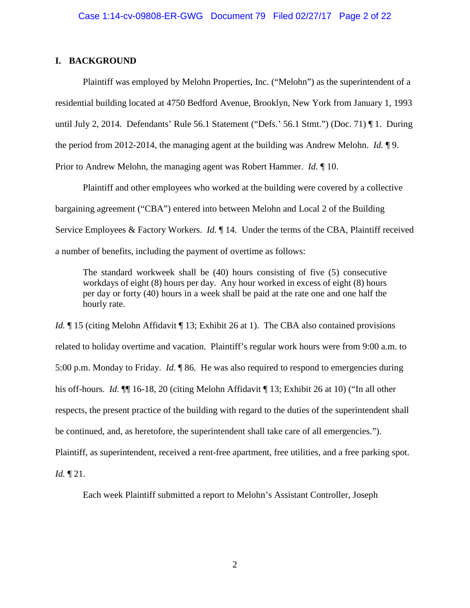### **I. BACKGROUND**

Plaintiff was employed by Melohn Properties, Inc. ("Melohn") as the superintendent of a residential building located at 4750 Bedford Avenue, Brooklyn, New York from January 1, 1993 until July 2, 2014. Defendants' Rule 56.1 Statement ("Defs.' 56.1 Stmt.") (Doc. 71) ¶ 1. During the period from 2012-2014, the managing agent at the building was Andrew Melohn. *Id.* ¶ 9. Prior to Andrew Melohn, the managing agent was Robert Hammer. *Id.* ¶ 10.

Plaintiff and other employees who worked at the building were covered by a collective bargaining agreement ("CBA") entered into between Melohn and Local 2 of the Building Service Employees & Factory Workers. *Id.* ¶ 14. Under the terms of the CBA, Plaintiff received a number of benefits, including the payment of overtime as follows:

The standard workweek shall be (40) hours consisting of five (5) consecutive workdays of eight (8) hours per day. Any hour worked in excess of eight (8) hours per day or forty (40) hours in a week shall be paid at the rate one and one half the hourly rate.

*Id.* If 15 (citing Melohn Affidavit I 13; Exhibit 26 at 1). The CBA also contained provisions related to holiday overtime and vacation. Plaintiff's regular work hours were from 9:00 a.m. to 5:00 p.m. Monday to Friday. *Id.* ¶ 86. He was also required to respond to emergencies during his off-hours. *Id.* ¶¶ 16-18, 20 (citing Melohn Affidavit ¶ 13; Exhibit 26 at 10) ("In all other respects, the present practice of the building with regard to the duties of the superintendent shall be continued, and, as heretofore, the superintendent shall take care of all emergencies."). Plaintiff, as superintendent, received a rent-free apartment, free utilities, and a free parking spot.

*Id.* ¶ 21.

Each week Plaintiff submitted a report to Melohn's Assistant Controller, Joseph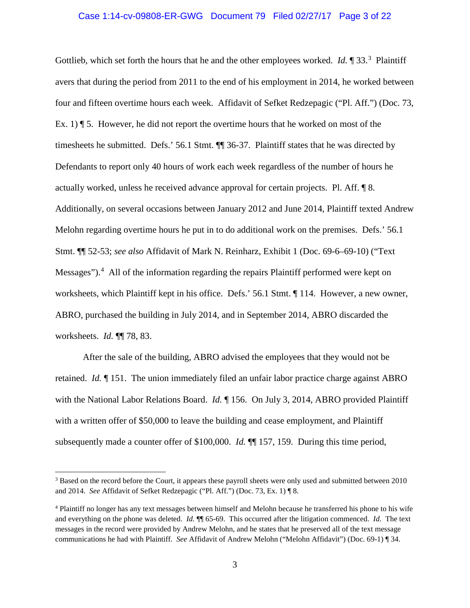#### Case 1:14-cv-09808-ER-GWG Document 79 Filed 02/27/17 Page 3 of 22

Gottlieb, which set forth the hours that he and the other employees worked. *Id.* 1 [3](#page-2-0)3.<sup>3</sup> Plaintiff avers that during the period from 2011 to the end of his employment in 2014, he worked between four and fifteen overtime hours each week. Affidavit of Sefket Redzepagic ("Pl. Aff.") (Doc. 73, Ex. 1)  $\P$  5. However, he did not report the overtime hours that he worked on most of the timesheets he submitted. Defs.' 56.1 Stmt. ¶¶ 36-37. Plaintiff states that he was directed by Defendants to report only 40 hours of work each week regardless of the number of hours he actually worked, unless he received advance approval for certain projects. Pl. Aff. ¶ 8. Additionally, on several occasions between January 2012 and June 2014, Plaintiff texted Andrew Melohn regarding overtime hours he put in to do additional work on the premises. Defs.' 56.1 Stmt. ¶¶ 52-53; *see also* Affidavit of Mark N. Reinharz, Exhibit 1 (Doc. 69-6–69-10) ("Text Messages").<sup>[4](#page-2-1)</sup> All of the information regarding the repairs Plaintiff performed were kept on worksheets, which Plaintiff kept in his office. Defs.' 56.1 Stmt. ¶ 114. However, a new owner, ABRO, purchased the building in July 2014, and in September 2014, ABRO discarded the worksheets. *Id.* ¶¶ 78, 83.

After the sale of the building, ABRO advised the employees that they would not be retained. *Id.* ¶ 151. The union immediately filed an unfair labor practice charge against ABRO with the National Labor Relations Board. *Id.* ¶ 156. On July 3, 2014, ABRO provided Plaintiff with a written offer of \$50,000 to leave the building and cease employment, and Plaintiff subsequently made a counter offer of \$100,000. *Id.* ¶¶ 157, 159. During this time period,

<span id="page-2-0"></span><sup>&</sup>lt;sup>3</sup> Based on the record before the Court, it appears these payroll sheets were only used and submitted between 2010 and 2014. *See* Affidavit of Sefket Redzepagic ("Pl. Aff.") (Doc. 73, Ex. 1) ¶ 8.

<span id="page-2-1"></span><sup>4</sup> Plaintiff no longer has any text messages between himself and Melohn because he transferred his phone to his wife and everything on the phone was deleted. *Id.* ¶¶ 65-69. This occurred after the litigation commenced. *Id.* The text messages in the record were provided by Andrew Melohn, and he states that he preserved all of the text message communications he had with Plaintiff. *See* Affidavit of Andrew Melohn ("Melohn Affidavit") (Doc. 69-1) ¶ 34.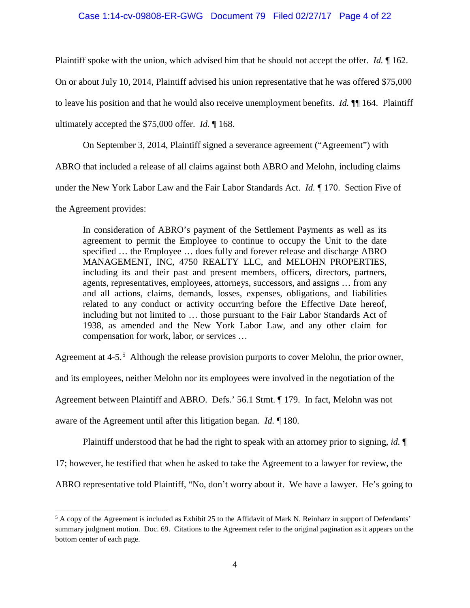### Case 1:14-cv-09808-ER-GWG Document 79 Filed 02/27/17 Page 4 of 22

Plaintiff spoke with the union, which advised him that he should not accept the offer. *Id.* ¶ 162.

On or about July 10, 2014, Plaintiff advised his union representative that he was offered \$75,000

to leave his position and that he would also receive unemployment benefits. *Id.* ¶¶ 164. Plaintiff

ultimately accepted the \$75,000 offer. *Id.* ¶ 168.

On September 3, 2014, Plaintiff signed a severance agreement ("Agreement") with

ABRO that included a release of all claims against both ABRO and Melohn, including claims

under the New York Labor Law and the Fair Labor Standards Act. *Id.* ¶ 170. Section Five of

the Agreement provides:

In consideration of ABRO's payment of the Settlement Payments as well as its agreement to permit the Employee to continue to occupy the Unit to the date specified ... the Employee ... does fully and forever release and discharge ABRO MANAGEMENT, INC, 4750 REALTY LLC, and MELOHN PROPERTIES, including its and their past and present members, officers, directors, partners, agents, representatives, employees, attorneys, successors, and assigns … from any and all actions, claims, demands, losses, expenses, obligations, and liabilities related to any conduct or activity occurring before the Effective Date hereof, including but not limited to … those pursuant to the Fair Labor Standards Act of 1938, as amended and the New York Labor Law, and any other claim for compensation for work, labor, or services …

Agreement at 4-[5](#page-3-0).<sup>5</sup> Although the release provision purports to cover Melohn, the prior owner,

and its employees, neither Melohn nor its employees were involved in the negotiation of the

Agreement between Plaintiff and ABRO. Defs.' 56.1 Stmt. ¶ 179. In fact, Melohn was not

aware of the Agreement until after this litigation began. *Id.* ¶ 180.

Plaintiff understood that he had the right to speak with an attorney prior to signing, *id.* ¶

17; however, he testified that when he asked to take the Agreement to a lawyer for review, the

ABRO representative told Plaintiff, "No, don't worry about it. We have a lawyer. He's going to

<span id="page-3-0"></span><sup>&</sup>lt;sup>5</sup> A copy of the Agreement is included as Exhibit 25 to the Affidavit of Mark N. Reinharz in support of Defendants' summary judgment motion. Doc. 69. Citations to the Agreement refer to the original pagination as it appears on the bottom center of each page.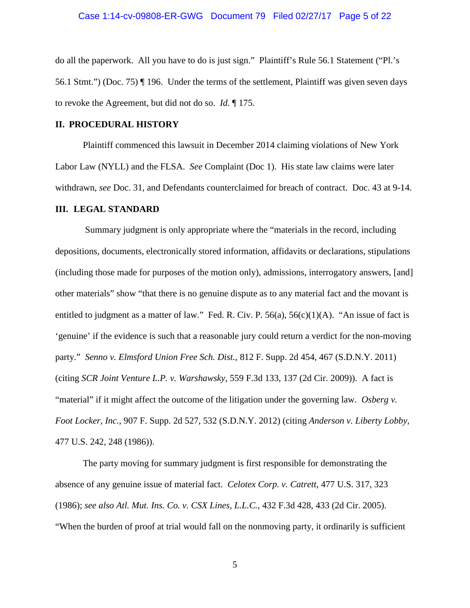#### Case 1:14-cv-09808-ER-GWG Document 79 Filed 02/27/17 Page 5 of 22

do all the paperwork. All you have to do is just sign." Plaintiff's Rule 56.1 Statement ("Pl.'s 56.1 Stmt.") (Doc. 75) ¶ 196. Under the terms of the settlement, Plaintiff was given seven days to revoke the Agreement, but did not do so. *Id.* ¶ 175.

### **II. PROCEDURAL HISTORY**

Plaintiff commenced this lawsuit in December 2014 claiming violations of New York Labor Law (NYLL) and the FLSA. *See* Complaint (Doc 1). His state law claims were later withdrawn, *see* Doc. 31, and Defendants counterclaimed for breach of contract. Doc. 43 at 9-14.

#### **III. LEGAL STANDARD**

Summary judgment is only appropriate where the "materials in the record, including depositions, documents, electronically stored information, affidavits or declarations, stipulations (including those made for purposes of the motion only), admissions, interrogatory answers, [and] other materials" show "that there is no genuine dispute as to any material fact and the movant is entitled to judgment as a matter of law." Fed. R. Civ. P. 56(a), 56(c)(1)(A). "An issue of fact is 'genuine' if the evidence is such that a reasonable jury could return a verdict for the non-moving party." *Senno v. Elmsford Union Free Sch. Dist.*, 812 F. Supp. 2d 454, 467 (S.D.N.Y. 2011) (citing *SCR Joint Venture L.P. v. Warshawsky,* 559 F.3d 133, 137 (2d Cir. 2009)). A fact is "material" if it might affect the outcome of the litigation under the governing law. *Osberg v. Foot Locker, Inc.*, 907 F. Supp. 2d 527, 532 (S.D.N.Y. 2012) (citing *Anderson v. Liberty Lobby*, 477 U.S. 242, 248 (1986)).

The party moving for summary judgment is first responsible for demonstrating the absence of any genuine issue of material fact. *Celotex Corp. v. Catrett*, 477 U.S. 317, 323 (1986); *see also Atl. Mut. Ins. Co. v. CSX Lines, L.L.C.*, 432 F.3d 428, 433 (2d Cir. 2005). "When the burden of proof at trial would fall on the nonmoving party, it ordinarily is sufficient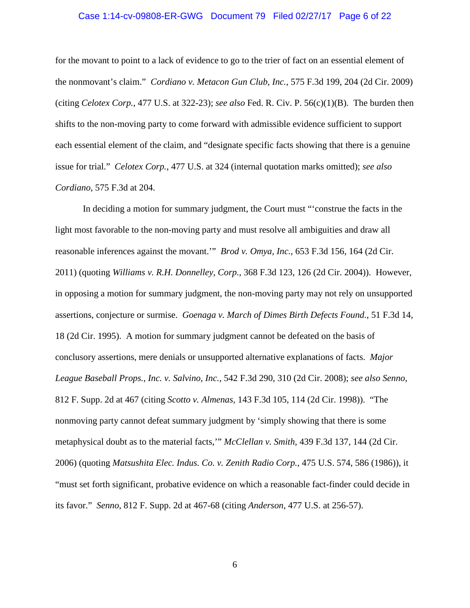#### Case 1:14-cv-09808-ER-GWG Document 79 Filed 02/27/17 Page 6 of 22

for the movant to point to a lack of evidence to go to the trier of fact on an essential element of the nonmovant's claim." *Cordiano v. Metacon Gun Club, Inc.*, 575 F.3d 199, 204 (2d Cir. 2009) (citing *Celotex Corp.*, 477 U.S. at 322-23); *see also* Fed. R. Civ. P. 56(c)(1)(B). The burden then shifts to the non-moving party to come forward with admissible evidence sufficient to support each essential element of the claim, and "designate specific facts showing that there is a genuine issue for trial." *Celotex Corp.*, 477 U.S. at 324 (internal quotation marks omitted); *see also Cordiano*, 575 F.3d at 204.

In deciding a motion for summary judgment, the Court must "'construe the facts in the light most favorable to the non-moving party and must resolve all ambiguities and draw all reasonable inferences against the movant.'" *Brod v. Omya, Inc.,* 653 F.3d 156, 164 (2d Cir. 2011) (quoting *Williams v. R.H. Donnelley, Corp.,* 368 F.3d 123, 126 (2d Cir. 2004)). However, in opposing a motion for summary judgment, the non-moving party may not rely on unsupported assertions, conjecture or surmise. *Goenaga v. March of Dimes Birth Defects Found.*, 51 F.3d 14, 18 (2d Cir. 1995). A motion for summary judgment cannot be defeated on the basis of conclusory assertions, mere denials or unsupported alternative explanations of facts. *Major League Baseball Props., Inc. v. Salvino, Inc.*, 542 F.3d 290, 310 (2d Cir. 2008); *see also Senno*, 812 F. Supp. 2d at 467 (citing *Scotto v. Almenas,* 143 F.3d 105, 114 (2d Cir. 1998)). "The nonmoving party cannot defeat summary judgment by 'simply showing that there is some metaphysical doubt as to the material facts,'" *McClellan v. Smith,* 439 F.3d 137, 144 (2d Cir. 2006) (quoting *Matsushita Elec. Indus. Co. v. Zenith Radio Corp.,* 475 U.S. 574, 586 (1986)), it "must set forth significant, probative evidence on which a reasonable fact-finder could decide in its favor." *Senno*, 812 F. Supp. 2d at 467-68 (citing *Anderson*, 477 U.S. at 256-57).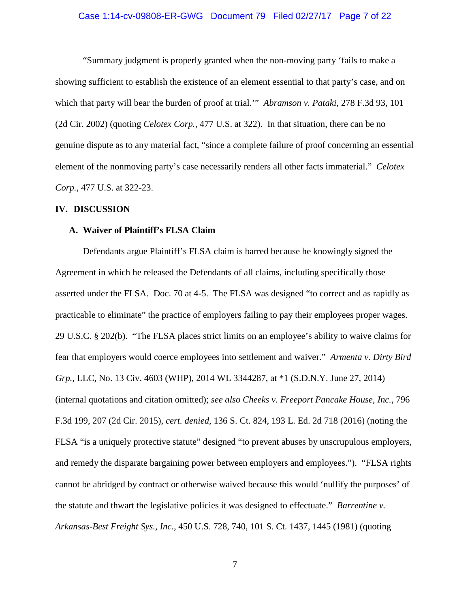#### Case 1:14-cv-09808-ER-GWG Document 79 Filed 02/27/17 Page 7 of 22

"Summary judgment is properly granted when the non-moving party 'fails to make a showing sufficient to establish the existence of an element essential to that party's case, and on which that party will bear the burden of proof at trial.'" *Abramson v. Pataki,* 278 F.3d 93, 101 (2d Cir. 2002) (quoting *Celotex Corp.,* 477 U.S. at 322). In that situation, there can be no genuine dispute as to any material fact, "since a complete failure of proof concerning an essential element of the nonmoving party's case necessarily renders all other facts immaterial." *Celotex Corp.*, 477 U.S. at 322-23.

#### **IV. DISCUSSION**

#### **A. Waiver of Plaintiff's FLSA Claim**

Defendants argue Plaintiff's FLSA claim is barred because he knowingly signed the Agreement in which he released the Defendants of all claims, including specifically those asserted under the FLSA. Doc. 70 at 4-5. The FLSA was designed "to correct and as rapidly as practicable to eliminate" the practice of employers failing to pay their employees proper wages. 29 U.S.C. § 202(b). "The FLSA places strict limits on an employee's ability to waive claims for fear that employers would coerce employees into settlement and waiver." *Armenta v. Dirty Bird Grp.*, LLC, No. 13 Civ. 4603 (WHP), 2014 WL 3344287, at \*1 (S.D.N.Y. June 27, 2014) (internal quotations and citation omitted); *see also Cheeks v. Freeport Pancake House, Inc.*, 796 F.3d 199, 207 (2d Cir. 2015), *cert. denied*, 136 S. Ct. 824, 193 L. Ed. 2d 718 (2016) (noting the FLSA "is a uniquely protective statute" designed "to prevent abuses by unscrupulous employers, and remedy the disparate bargaining power between employers and employees."). "FLSA rights cannot be abridged by contract or otherwise waived because this would 'nullify the purposes' of the statute and thwart the legislative policies it was designed to effectuate." *Barrentine v. Arkansas-Best Freight Sys., Inc*., 450 U.S. 728, 740, 101 S. Ct. 1437, 1445 (1981) (quoting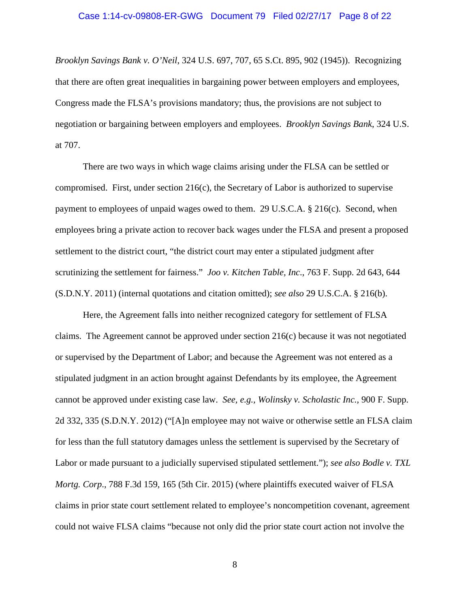#### Case 1:14-cv-09808-ER-GWG Document 79 Filed 02/27/17 Page 8 of 22

*Brooklyn Savings Bank v. O'Neil*, 324 U.S. 697, 707, 65 S.Ct. 895, 902 (1945)). Recognizing that there are often great inequalities in bargaining power between employers and employees, Congress made the FLSA's provisions mandatory; thus, the provisions are not subject to negotiation or bargaining between employers and employees. *Brooklyn Savings Bank*, 324 U.S. at 707.

There are two ways in which wage claims arising under the FLSA can be settled or compromised. First, under section 216(c), the Secretary of Labor is authorized to supervise payment to employees of unpaid wages owed to them. 29 U.S.C.A. § 216(c). Second, when employees bring a private action to recover back wages under the FLSA and present a proposed settlement to the district court, "the district court may enter a stipulated judgment after scrutinizing the settlement for fairness." *Joo v. Kitchen Table, Inc*., 763 F. Supp. 2d 643, 644 (S.D.N.Y. 2011) (internal quotations and citation omitted); *see also* 29 U.S.C.A. § 216(b).

Here, the Agreement falls into neither recognized category for settlement of FLSA claims. The Agreement cannot be approved under section 216(c) because it was not negotiated or supervised by the Department of Labor; and because the Agreement was not entered as a stipulated judgment in an action brought against Defendants by its employee, the Agreement cannot be approved under existing case law. *See, e.g., Wolinsky v. Scholastic Inc.,* 900 F. Supp. 2d 332, 335 (S.D.N.Y. 2012) ("[A]n employee may not waive or otherwise settle an FLSA claim for less than the full statutory damages unless the settlement is supervised by the Secretary of Labor or made pursuant to a judicially supervised stipulated settlement."); *see also Bodle v. TXL Mortg. Corp*., 788 F.3d 159, 165 (5th Cir. 2015) (where plaintiffs executed waiver of FLSA claims in prior state court settlement related to employee's noncompetition covenant, agreement could not waive FLSA claims "because not only did the prior state court action not involve the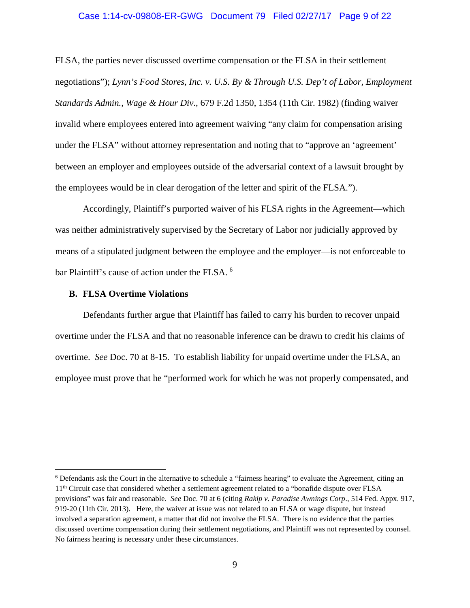#### Case 1:14-cv-09808-ER-GWG Document 79 Filed 02/27/17 Page 9 of 22

FLSA, the parties never discussed overtime compensation or the FLSA in their settlement negotiations"); *Lynn's Food Stores, Inc. v. U.S. By & Through U.S. Dep't of Labor, Employment Standards Admin., Wage & Hour Div*., 679 F.2d 1350, 1354 (11th Cir. 1982) (finding waiver invalid where employees entered into agreement waiving "any claim for compensation arising under the FLSA" without attorney representation and noting that to "approve an 'agreement' between an employer and employees outside of the adversarial context of a lawsuit brought by the employees would be in clear derogation of the letter and spirit of the FLSA.").

Accordingly, Plaintiff's purported waiver of his FLSA rights in the Agreement—which was neither administratively supervised by the Secretary of Labor nor judicially approved by means of a stipulated judgment between the employee and the employer—is not enforceable to bar Plaintiff's cause of action under the FLSA. <sup>[6](#page-8-0)</sup>

#### **B. FLSA Overtime Violations**

Defendants further argue that Plaintiff has failed to carry his burden to recover unpaid overtime under the FLSA and that no reasonable inference can be drawn to credit his claims of overtime. *See* Doc. 70 at 8-15. To establish liability for unpaid overtime under the FLSA, an employee must prove that he "performed work for which he was not properly compensated, and

<span id="page-8-0"></span> <sup>6</sup> Defendants ask the Court in the alternative to schedule a "fairness hearing" to evaluate the Agreement, citing an 11th Circuit case that considered whether a settlement agreement related to a "bonafide dispute over FLSA provisions" was fair and reasonable. *See* Doc. 70 at 6 (citing *Rakip v. Paradise Awnings Corp*., 514 Fed. Appx. 917, 919-20 (11th Cir. 2013). Here, the waiver at issue was not related to an FLSA or wage dispute, but instead involved a separation agreement, a matter that did not involve the FLSA. There is no evidence that the parties discussed overtime compensation during their settlement negotiations, and Plaintiff was not represented by counsel. No fairness hearing is necessary under these circumstances.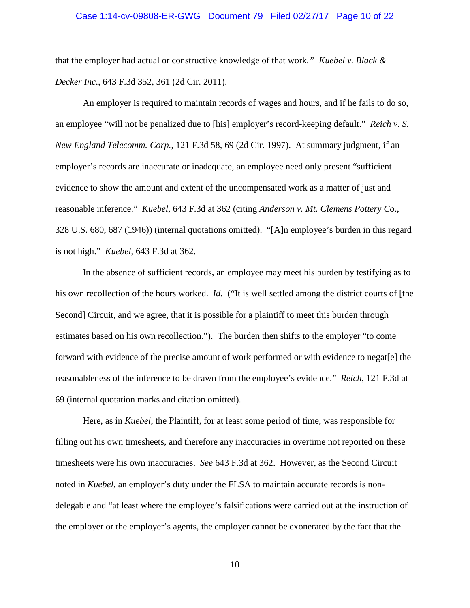#### Case 1:14-cv-09808-ER-GWG Document 79 Filed 02/27/17 Page 10 of 22

that the employer had actual or constructive knowledge of that work*." Kuebel v. Black & Decker Inc*., 643 F.3d 352, 361 (2d Cir. 2011).

An employer is required to maintain records of wages and hours, and if he fails to do so, an employee "will not be penalized due to [his] employer's record-keeping default." *Reich v. S. New England Telecomm. Corp.*, 121 F.3d 58, 69 (2d Cir. 1997). At summary judgment, if an employer's records are inaccurate or inadequate, an employee need only present "sufficient evidence to show the amount and extent of the uncompensated work as a matter of just and reasonable inference." *Kuebel*, 643 F.3d at 362 (citing *Anderson v. Mt. Clemens Pottery Co.*, 328 U.S. 680, 687 (1946)) (internal quotations omitted). "[A]n employee's burden in this regard is not high." *Kuebel*, 643 F.3d at 362.

In the absence of sufficient records, an employee may meet his burden by testifying as to his own recollection of the hours worked. *Id.* ("It is well settled among the district courts of [the Second] Circuit, and we agree, that it is possible for a plaintiff to meet this burden through estimates based on his own recollection."). The burden then shifts to the employer "to come forward with evidence of the precise amount of work performed or with evidence to negat[e] the reasonableness of the inference to be drawn from the employee's evidence." *Reich*, 121 F.3d at 69 (internal quotation marks and citation omitted).

Here, as in *Kuebel*, the Plaintiff, for at least some period of time, was responsible for filling out his own timesheets, and therefore any inaccuracies in overtime not reported on these timesheets were his own inaccuracies. *See* 643 F.3d at 362. However, as the Second Circuit noted in *Kuebel*, an employer's duty under the FLSA to maintain accurate records is nondelegable and "at least where the employee's falsifications were carried out at the instruction of the employer or the employer's agents, the employer cannot be exonerated by the fact that the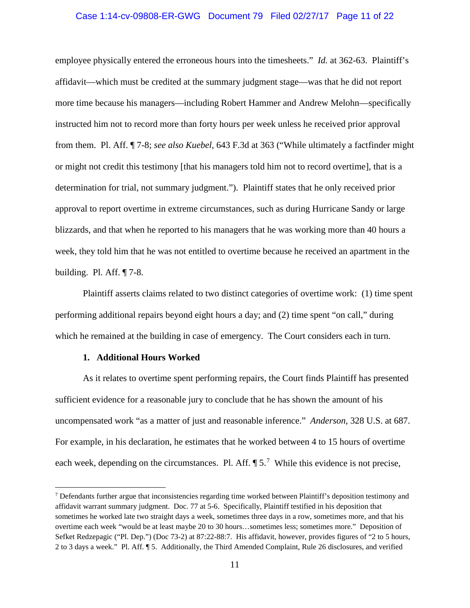# Case 1:14-cv-09808-ER-GWG Document 79 Filed 02/27/17 Page 11 of 22

employee physically entered the erroneous hours into the timesheets." *Id.* at 362-63. Plaintiff's affidavit—which must be credited at the summary judgment stage—was that he did not report more time because his managers—including Robert Hammer and Andrew Melohn—specifically instructed him not to record more than forty hours per week unless he received prior approval from them. Pl. Aff. ¶ 7-8; *see also Kuebel*, 643 F.3d at 363 ("While ultimately a factfinder might or might not credit this testimony [that his managers told him not to record overtime], that is a determination for trial, not summary judgment."). Plaintiff states that he only received prior approval to report overtime in extreme circumstances, such as during Hurricane Sandy or large blizzards, and that when he reported to his managers that he was working more than 40 hours a week, they told him that he was not entitled to overtime because he received an apartment in the building. Pl. Aff. ¶ 7-8.

Plaintiff asserts claims related to two distinct categories of overtime work: (1) time spent performing additional repairs beyond eight hours a day; and (2) time spent "on call," during which he remained at the building in case of emergency. The Court considers each in turn.

### **1. Additional Hours Worked**

As it relates to overtime spent performing repairs, the Court finds Plaintiff has presented sufficient evidence for a reasonable jury to conclude that he has shown the amount of his uncompensated work "as a matter of just and reasonable inference." *Anderson*, 328 U.S. at 687. For example, in his declaration, he estimates that he worked between 4 to 15 hours of overtime each week, depending on the circumstances. Pl. Aff.  $\P 5<sup>7</sup>$  $\P 5<sup>7</sup>$  $\P 5<sup>7</sup>$  While this evidence is not precise,

<span id="page-10-0"></span> $<sup>7</sup>$  Defendants further argue that inconsistencies regarding time worked between Plaintiff's deposition testimony and</sup> affidavit warrant summary judgment. Doc. 77 at 5-6. Specifically, Plaintiff testified in his deposition that sometimes he worked late two straight days a week, sometimes three days in a row, sometimes more, and that his overtime each week "would be at least maybe 20 to 30 hours…sometimes less; sometimes more." Deposition of Sefket Redzepagic ("Pl. Dep.") (Doc 73-2) at 87:22-88:7. His affidavit, however, provides figures of "2 to 5 hours, 2 to 3 days a week." Pl. Aff. ¶ 5. Additionally, the Third Amended Complaint, Rule 26 disclosures, and verified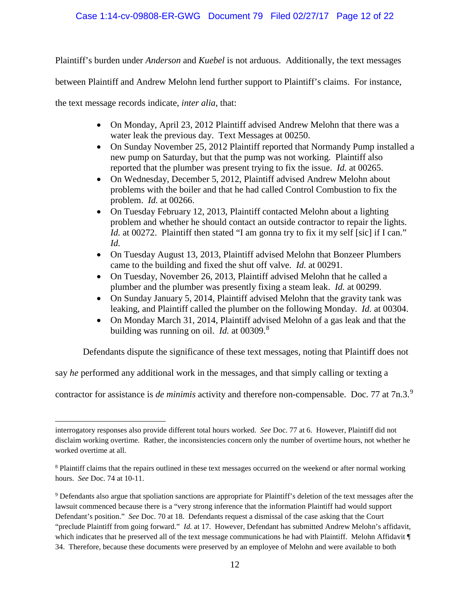## Case 1:14-cv-09808-ER-GWG Document 79 Filed 02/27/17 Page 12 of 22

Plaintiff's burden under *Anderson* and *Kuebel* is not arduous. Additionally, the text messages

between Plaintiff and Andrew Melohn lend further support to Plaintiff's claims. For instance,

the text message records indicate, *inter alia*, that:

 $\overline{a}$ 

- On Monday, April 23, 2012 Plaintiff advised Andrew Melohn that there was a water leak the previous day. Text Messages at 00250.
- On Sunday November 25, 2012 Plaintiff reported that Normandy Pump installed a new pump on Saturday, but that the pump was not working. Plaintiff also reported that the plumber was present trying to fix the issue. *Id.* at 00265.
- On Wednesday, December 5, 2012, Plaintiff advised Andrew Melohn about problems with the boiler and that he had called Control Combustion to fix the problem. *Id.* at 00266.
- On Tuesday February 12, 2013, Plaintiff contacted Melohn about a lighting problem and whether he should contact an outside contractor to repair the lights. *Id.* at 00272. Plaintiff then stated "I am gonna try to fix it my self [sic] if I can." *Id.*
- On Tuesday August 13, 2013, Plaintiff advised Melohn that Bonzeer Plumbers came to the building and fixed the shut off valve. *Id.* at 00291.
- On Tuesday, November 26, 2013, Plaintiff advised Melohn that he called a plumber and the plumber was presently fixing a steam leak. *Id.* at 00299.
- On Sunday January 5, 2014, Plaintiff advised Melohn that the gravity tank was leaking, and Plaintiff called the plumber on the following Monday. *Id.* at 00304.
- On Monday March 31, 2014, Plaintiff advised Melohn of a gas leak and that the building was running on oil. *Id.* at 00309.[8](#page-11-0)

Defendants dispute the significance of these text messages, noting that Plaintiff does not

say *he* performed any additional work in the messages, and that simply calling or texting a

contractor for assistance is *de minimis* activity and therefore non-compensable. Doc. 77 at 7n.3.[9](#page-11-1)

interrogatory responses also provide different total hours worked. *See* Doc. 77 at 6. However, Plaintiff did not disclaim working overtime. Rather, the inconsistencies concern only the number of overtime hours, not whether he worked overtime at all.

<span id="page-11-0"></span><sup>8</sup> Plaintiff claims that the repairs outlined in these text messages occurred on the weekend or after normal working hours. *See* Doc. 74 at 10-11.

<span id="page-11-1"></span><sup>9</sup> Defendants also argue that spoliation sanctions are appropriate for Plaintiff's deletion of the text messages after the lawsuit commenced because there is a "very strong inference that the information Plaintiff had would support Defendant's position." *See* Doc. 70 at 18. Defendants request a dismissal of the case asking that the Court "preclude Plaintiff from going forward." *Id.* at 17. However, Defendant has submitted Andrew Melohn's affidavit, which indicates that he preserved all of the text message communications he had with Plaintiff. Melohn Affidavit ¶ 34. Therefore, because these documents were preserved by an employee of Melohn and were available to both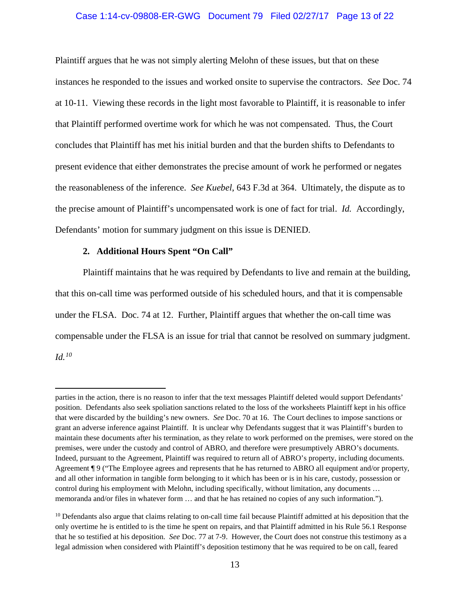# Case 1:14-cv-09808-ER-GWG Document 79 Filed 02/27/17 Page 13 of 22

Plaintiff argues that he was not simply alerting Melohn of these issues, but that on these instances he responded to the issues and worked onsite to supervise the contractors. *See* Doc. 74 at 10-11. Viewing these records in the light most favorable to Plaintiff, it is reasonable to infer that Plaintiff performed overtime work for which he was not compensated. Thus, the Court concludes that Plaintiff has met his initial burden and that the burden shifts to Defendants to present evidence that either demonstrates the precise amount of work he performed or negates the reasonableness of the inference. *See Kuebel*, 643 F.3d at 364. Ultimately, the dispute as to the precise amount of Plaintiff's uncompensated work is one of fact for trial. *Id.* Accordingly, Defendants' motion for summary judgment on this issue is DENIED.

#### **2. Additional Hours Spent "On Call"**

 $\overline{a}$ 

Plaintiff maintains that he was required by Defendants to live and remain at the building, that this on-call time was performed outside of his scheduled hours, and that it is compensable under the FLSA. Doc. 74 at 12. Further, Plaintiff argues that whether the on-call time was compensable under the FLSA is an issue for trial that cannot be resolved on summary judgment. *Id.[10](#page-12-0)*

parties in the action, there is no reason to infer that the text messages Plaintiff deleted would support Defendants' position. Defendants also seek spoliation sanctions related to the loss of the worksheets Plaintiff kept in his office that were discarded by the building's new owners. *See* Doc. 70 at 16. The Court declines to impose sanctions or grant an adverse inference against Plaintiff. It is unclear why Defendants suggest that it was Plaintiff's burden to maintain these documents after his termination, as they relate to work performed on the premises, were stored on the premises, were under the custody and control of ABRO, and therefore were presumptively ABRO's documents. Indeed, pursuant to the Agreement, Plaintiff was required to return all of ABRO's property, including documents. Agreement ¶ 9 ("The Employee agrees and represents that he has returned to ABRO all equipment and/or property, and all other information in tangible form belonging to it which has been or is in his care, custody, possession or control during his employment with Melohn, including specifically, without limitation, any documents … memoranda and/or files in whatever form … and that he has retained no copies of any such information.").

<span id="page-12-0"></span> $10$  Defendants also argue that claims relating to on-call time fail because Plaintiff admitted at his deposition that the only overtime he is entitled to is the time he spent on repairs, and that Plaintiff admitted in his Rule 56.1 Response that he so testified at his deposition. *See* Doc. 77 at 7-9. However, the Court does not construe this testimony as a legal admission when considered with Plaintiff's deposition testimony that he was required to be on call, feared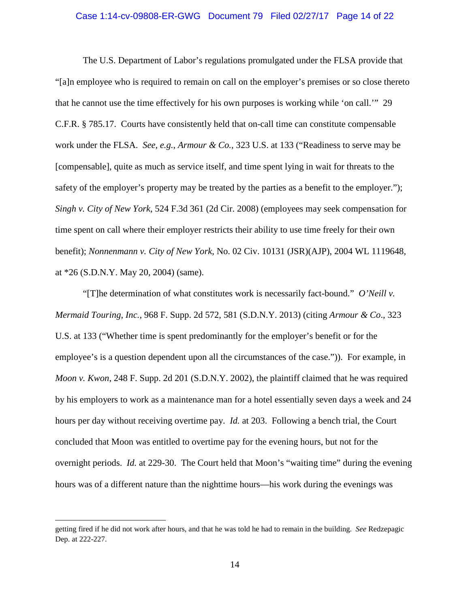# Case 1:14-cv-09808-ER-GWG Document 79 Filed 02/27/17 Page 14 of 22

The U.S. Department of Labor's regulations promulgated under the FLSA provide that "[a]n employee who is required to remain on call on the employer's premises or so close thereto that he cannot use the time effectively for his own purposes is working while 'on call.'" 29 C.F.R. § 785.17. Courts have consistently held that on-call time can constitute compensable work under the FLSA. *See, e.g., Armour & Co.*, 323 U.S. at 133 ("Readiness to serve may be [compensable], quite as much as service itself, and time spent lying in wait for threats to the safety of the employer's property may be treated by the parties as a benefit to the employer."); *Singh v. City of New York*, 524 F.3d 361 (2d Cir. 2008) (employees may seek compensation for time spent on call where their employer restricts their ability to use time freely for their own benefit); *Nonnenmann v. City of New York*, No. 02 Civ. 10131 (JSR)(AJP), 2004 WL 1119648, at \*26 (S.D.N.Y. May 20, 2004) (same).

"[T]he determination of what constitutes work is necessarily fact-bound." *O'Neill v. Mermaid Touring, Inc.*, 968 F. Supp. 2d 572, 581 (S.D.N.Y. 2013) (citing *Armour & Co*., 323 U.S. at 133 ("Whether time is spent predominantly for the employer's benefit or for the employee's is a question dependent upon all the circumstances of the case.")). For example, in *Moon v. Kwon*, 248 F. Supp. 2d 201 (S.D.N.Y. 2002), the plaintiff claimed that he was required by his employers to work as a maintenance man for a hotel essentially seven days a week and 24 hours per day without receiving overtime pay. *Id.* at 203. Following a bench trial, the Court concluded that Moon was entitled to overtime pay for the evening hours, but not for the overnight periods. *Id.* at 229-30. The Court held that Moon's "waiting time" during the evening hours was of a different nature than the nighttime hours—his work during the evenings was

 $\overline{a}$ 

getting fired if he did not work after hours, and that he was told he had to remain in the building. *See* Redzepagic Dep. at 222-227.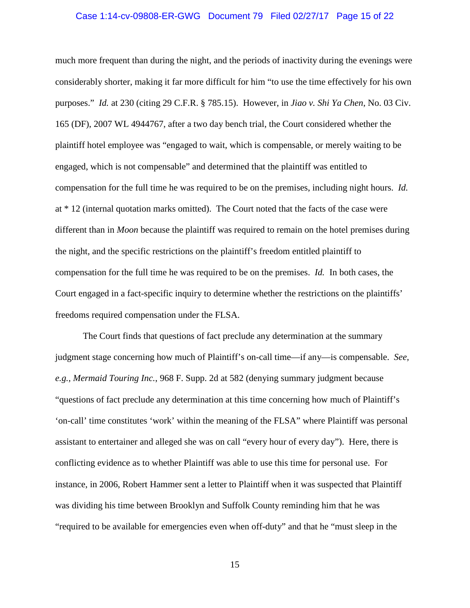#### Case 1:14-cv-09808-ER-GWG Document 79 Filed 02/27/17 Page 15 of 22

much more frequent than during the night, and the periods of inactivity during the evenings were considerably shorter, making it far more difficult for him "to use the time effectively for his own purposes." *Id.* at 230 (citing 29 C.F.R. § 785.15). However, in *Jiao v. Shi Ya Chen*, No. 03 Civ. 165 (DF), 2007 WL 4944767, after a two day bench trial, the Court considered whether the plaintiff hotel employee was "engaged to wait, which is compensable, or merely waiting to be engaged, which is not compensable" and determined that the plaintiff was entitled to compensation for the full time he was required to be on the premises, including night hours. *Id.*  at \* 12 (internal quotation marks omitted). The Court noted that the facts of the case were different than in *Moon* because the plaintiff was required to remain on the hotel premises during the night, and the specific restrictions on the plaintiff's freedom entitled plaintiff to compensation for the full time he was required to be on the premises. *Id.* In both cases, the Court engaged in a fact-specific inquiry to determine whether the restrictions on the plaintiffs' freedoms required compensation under the FLSA.

The Court finds that questions of fact preclude any determination at the summary judgment stage concerning how much of Plaintiff's on-call time—if any—is compensable. *See, e.g., Mermaid Touring Inc.*, 968 F. Supp. 2d at 582 (denying summary judgment because "questions of fact preclude any determination at this time concerning how much of Plaintiff's 'on-call' time constitutes 'work' within the meaning of the FLSA" where Plaintiff was personal assistant to entertainer and alleged she was on call "every hour of every day"). Here, there is conflicting evidence as to whether Plaintiff was able to use this time for personal use. For instance, in 2006, Robert Hammer sent a letter to Plaintiff when it was suspected that Plaintiff was dividing his time between Brooklyn and Suffolk County reminding him that he was "required to be available for emergencies even when off-duty" and that he "must sleep in the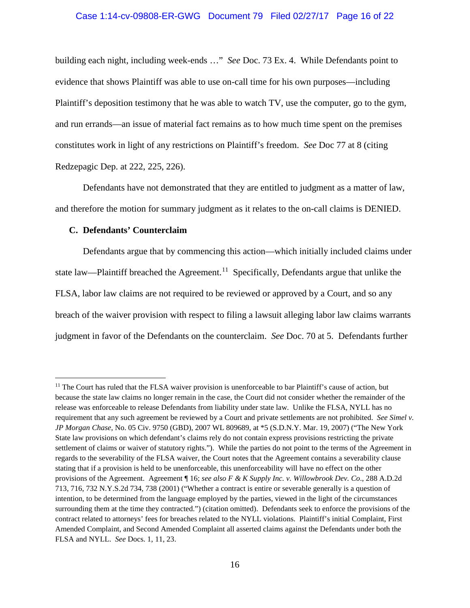# Case 1:14-cv-09808-ER-GWG Document 79 Filed 02/27/17 Page 16 of 22

building each night, including week-ends …" *See* Doc. 73 Ex. 4. While Defendants point to evidence that shows Plaintiff was able to use on-call time for his own purposes—including Plaintiff's deposition testimony that he was able to watch TV, use the computer, go to the gym, and run errands—an issue of material fact remains as to how much time spent on the premises constitutes work in light of any restrictions on Plaintiff's freedom. *See* Doc 77 at 8 (citing Redzepagic Dep. at 222, 225, 226).

Defendants have not demonstrated that they are entitled to judgment as a matter of law, and therefore the motion for summary judgment as it relates to the on-call claims is DENIED.

### **C. Defendants' Counterclaim**

Defendants argue that by commencing this action—which initially included claims under state law—Plaintiff breached the Agreement.<sup>11</sup> Specifically, Defendants argue that unlike the FLSA, labor law claims are not required to be reviewed or approved by a Court, and so any breach of the waiver provision with respect to filing a lawsuit alleging labor law claims warrants judgment in favor of the Defendants on the counterclaim. *See* Doc. 70 at 5. Defendants further

<span id="page-15-0"></span><sup>&</sup>lt;sup>11</sup> The Court has ruled that the FLSA waiver provision is unenforceable to bar Plaintiff's cause of action, but because the state law claims no longer remain in the case, the Court did not consider whether the remainder of the release was enforceable to release Defendants from liability under state law. Unlike the FLSA, NYLL has no requirement that any such agreement be reviewed by a Court and private settlements are not prohibited. *See Simel v. JP Morgan Chase*, No. 05 Civ. 9750 (GBD), 2007 WL 809689, at \*5 (S.D.N.Y. Mar. 19, 2007) ("The New York State law provisions on which defendant's claims rely do not contain express provisions restricting the private settlement of claims or waiver of statutory rights."). While the parties do not point to the terms of the Agreement in regards to the severability of the FLSA waiver, the Court notes that the Agreement contains a severability clause stating that if a provision is held to be unenforceable, this unenforceability will have no effect on the other provisions of the Agreement. Agreement ¶ 16; *see also F & K Supply Inc. v. Willowbrook Dev. Co*., 288 A.D.2d 713, 716, 732 N.Y.S.2d 734, 738 (2001) ("Whether a contract is entire or severable generally is a question of intention, to be determined from the language employed by the parties, viewed in the light of the circumstances surrounding them at the time they contracted.") (citation omitted). Defendants seek to enforce the provisions of the contract related to attorneys' fees for breaches related to the NYLL violations. Plaintiff's initial Complaint, First Amended Complaint, and Second Amended Complaint all asserted claims against the Defendants under both the FLSA and NYLL. *See* Docs. 1, 11, 23.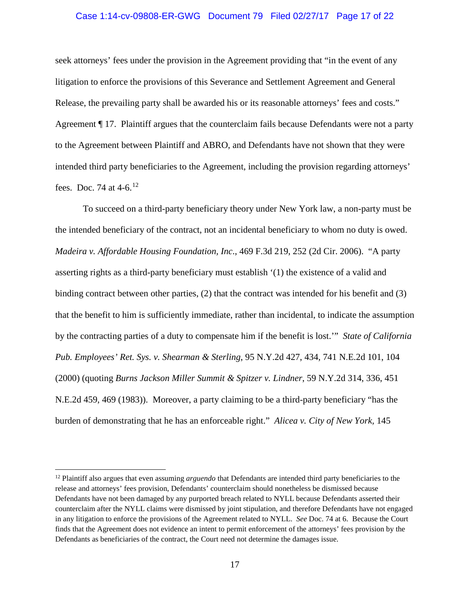# Case 1:14-cv-09808-ER-GWG Document 79 Filed 02/27/17 Page 17 of 22

seek attorneys' fees under the provision in the Agreement providing that "in the event of any litigation to enforce the provisions of this Severance and Settlement Agreement and General Release, the prevailing party shall be awarded his or its reasonable attorneys' fees and costs." Agreement ¶ 17. Plaintiff argues that the counterclaim fails because Defendants were not a party to the Agreement between Plaintiff and ABRO, and Defendants have not shown that they were intended third party beneficiaries to the Agreement, including the provision regarding attorneys' fees. Doc. 74 at 4-6.[12](#page-16-0)

To succeed on a third-party beneficiary theory under New York law, a non-party must be the intended beneficiary of the contract, not an incidental beneficiary to whom no duty is owed. *Madeira v. Affordable Housing Foundation, Inc*., 469 F.3d 219, 252 (2d Cir. 2006). "A party asserting rights as a third-party beneficiary must establish '(1) the existence of a valid and binding contract between other parties, (2) that the contract was intended for his benefit and (3) that the benefit to him is sufficiently immediate, rather than incidental, to indicate the assumption by the contracting parties of a duty to compensate him if the benefit is lost.'" *State of California Pub. Employees' Ret. Sys. v. Shearman & Sterling*, 95 N.Y.2d 427, 434, 741 N.E.2d 101, 104 (2000) (quoting *Burns Jackson Miller Summit & Spitzer v. Lindner*, 59 N.Y.2d 314, 336, 451 N.E.2d 459, 469 (1983)). Moreover, a party claiming to be a third-party beneficiary "has the burden of demonstrating that he has an enforceable right." *Alicea v. City of New York,* 145

<span id="page-16-0"></span> <sup>12</sup> Plaintiff also argues that even assuming *arguendo* that Defendants are intended third party beneficiaries to the release and attorneys' fees provision, Defendants' counterclaim should nonetheless be dismissed because Defendants have not been damaged by any purported breach related to NYLL because Defendants asserted their counterclaim after the NYLL claims were dismissed by joint stipulation, and therefore Defendants have not engaged in any litigation to enforce the provisions of the Agreement related to NYLL. *See* Doc. 74 at 6. Because the Court finds that the Agreement does not evidence an intent to permit enforcement of the attorneys' fees provision by the Defendants as beneficiaries of the contract, the Court need not determine the damages issue.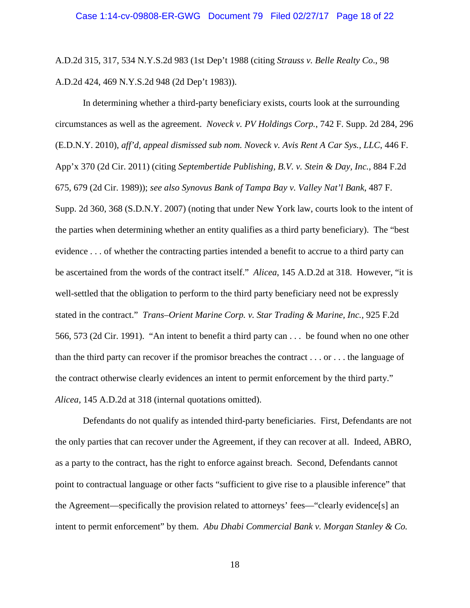A.D.2d 315, 317, 534 N.Y.S.2d 983 (1st Dep't 1988 (citing *Strauss v. Belle Realty Co*., 98 A.D.2d 424, 469 N.Y.S.2d 948 (2d Dep't 1983)).

In determining whether a third-party beneficiary exists, courts look at the surrounding circumstances as well as the agreement. *Noveck v. PV Holdings Corp.*, 742 F. Supp. 2d 284, 296 (E.D.N.Y. 2010), *aff'd, appeal dismissed sub nom. Noveck v. Avis Rent A Car Sys., LLC*, 446 F. App'x 370 (2d Cir. 2011) (citing *Septembertide Publishing, B.V. v. Stein & Day, Inc.,* 884 F.2d 675, 679 (2d Cir. 1989)); *see also Synovus Bank of Tampa Bay v. Valley Nat'l Bank*, 487 F. Supp. 2d 360, 368 (S.D.N.Y. 2007) (noting that under New York law, courts look to the intent of the parties when determining whether an entity qualifies as a third party beneficiary). The "best evidence . . . of whether the contracting parties intended a benefit to accrue to a third party can be ascertained from the words of the contract itself." *Alicea*, 145 A.D.2d at 318. However, "it is well-settled that the obligation to perform to the third party beneficiary need not be expressly stated in the contract." *Trans–Orient Marine Corp. v. Star Trading & Marine, Inc.,* 925 F.2d 566, 573 (2d Cir. 1991). "An intent to benefit a third party can . . . be found when no one other than the third party can recover if the promisor breaches the contract . . . or . . . the language of the contract otherwise clearly evidences an intent to permit enforcement by the third party." *Alicea,* 145 A.D.2d at 318 (internal quotations omitted).

Defendants do not qualify as intended third-party beneficiaries. First, Defendants are not the only parties that can recover under the Agreement, if they can recover at all. Indeed, ABRO, as a party to the contract, has the right to enforce against breach. Second, Defendants cannot point to contractual language or other facts "sufficient to give rise to a plausible inference" that the Agreement—specifically the provision related to attorneys' fees—"clearly evidence[s] an intent to permit enforcement" by them. *Abu Dhabi Commercial Bank v. Morgan Stanley & Co.*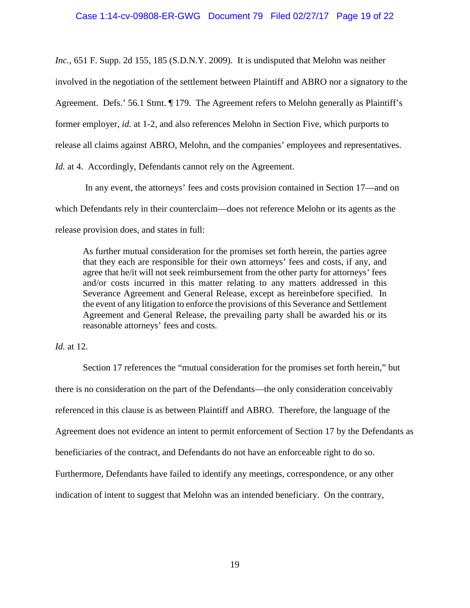*Inc.*, 651 F. Supp. 2d 155, 185 (S.D.N.Y. 2009). It is undisputed that Melohn was neither involved in the negotiation of the settlement between Plaintiff and ABRO nor a signatory to the Agreement. Defs.' 56.1 Stmt. ¶ 179. The Agreement refers to Melohn generally as Plaintiff's former employer, *id.* at 1-2, and also references Melohn in Section Five, which purports to release all claims against ABRO, Melohn, and the companies' employees and representatives. *Id.* at 4. Accordingly, Defendants cannot rely on the Agreement.

In any event, the attorneys' fees and costs provision contained in Section 17—and on which Defendants rely in their counterclaim—does not reference Melohn or its agents as the release provision does, and states in full:

As further mutual consideration for the promises set forth herein, the parties agree that they each are responsible for their own attorneys' fees and costs, if any, and agree that he/it will not seek reimbursement from the other party for attorneys' fees and/or costs incurred in this matter relating to any matters addressed in this Severance Agreement and General Release, except as hereinbefore specified. In the event of any litigation to enforce the provisions of this Severance and Settlement Agreement and General Release, the prevailing party shall be awarded his or its reasonable attorneys' fees and costs.

### *Id.* at 12.

Section 17 references the "mutual consideration for the promises set forth herein," but there is no consideration on the part of the Defendants—the only consideration conceivably referenced in this clause is as between Plaintiff and ABRO. Therefore, the language of the Agreement does not evidence an intent to permit enforcement of Section 17 by the Defendants as beneficiaries of the contract, and Defendants do not have an enforceable right to do so. Furthermore, Defendants have failed to identify any meetings, correspondence, or any other indication of intent to suggest that Melohn was an intended beneficiary. On the contrary,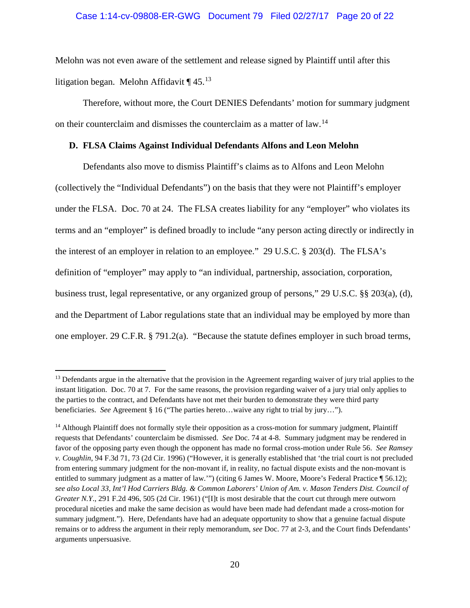### Case 1:14-cv-09808-ER-GWG Document 79 Filed 02/27/17 Page 20 of 22

Melohn was not even aware of the settlement and release signed by Plaintiff until after this litigation began. Melohn Affidavit  $\P$  45.<sup>[13](#page-19-0)</sup>

Therefore, without more, the Court DENIES Defendants' motion for summary judgment on their counterclaim and dismisses the counterclaim as a matter of law.<sup>[14](#page-19-1)</sup>

### **D. FLSA Claims Against Individual Defendants Alfons and Leon Melohn**

Defendants also move to dismiss Plaintiff's claims as to Alfons and Leon Melohn (collectively the "Individual Defendants") on the basis that they were not Plaintiff's employer under the FLSA. Doc. 70 at 24. The FLSA creates liability for any "employer" who violates its terms and an "employer" is defined broadly to include "any person acting directly or indirectly in the interest of an employer in relation to an employee." 29 U.S.C. § 203(d). The FLSA's definition of "employer" may apply to "an individual, partnership, association, corporation, business trust, legal representative, or any organized group of persons," 29 U.S.C. §§ 203(a), (d), and the Department of Labor regulations state that an individual may be employed by more than one employer. 29 C.F.R. § 791.2(a). "Because the statute defines employer in such broad terms,

<span id="page-19-0"></span> $<sup>13</sup>$  Defendants argue in the alternative that the provision in the Agreement regarding waiver of jury trial applies to the</sup> instant litigation. Doc. 70 at 7. For the same reasons, the provision regarding waiver of a jury trial only applies to the parties to the contract, and Defendants have not met their burden to demonstrate they were third party beneficiaries. *See* Agreement § 16 ("The parties hereto…waive any right to trial by jury…").

<span id="page-19-1"></span><sup>&</sup>lt;sup>14</sup> Although Plaintiff does not formally style their opposition as a cross-motion for summary judgment, Plaintiff requests that Defendants' counterclaim be dismissed. *See* Doc. 74 at 4-8. Summary judgment may be rendered in favor of the opposing party even though the opponent has made no formal cross-motion under Rule 56. *See Ramsey v. Coughlin*, 94 F.3d 71, 73 (2d Cir. 1996) ("However, it is generally established that 'the trial court is not precluded from entering summary judgment for the non-movant if, in reality, no factual dispute exists and the non-movant is entitled to summary judgment as a matter of law."") (citing 6 James W. Moore, Moore's Federal Practice ¶ 56.12); *see also Local 33, Int'l Hod Carriers Bldg. & Common Laborers' Union of Am. v. Mason Tenders Dist. Council of Greater N.Y.*, 291 F.2d 496, 505 (2d Cir. 1961) ("[I]t is most desirable that the court cut through mere outworn procedural niceties and make the same decision as would have been made had defendant made a cross-motion for summary judgment."). Here, Defendants have had an adequate opportunity to show that a genuine factual dispute remains or to address the argument in their reply memorandum, *see* Doc. 77 at 2-3, and the Court finds Defendants' arguments unpersuasive.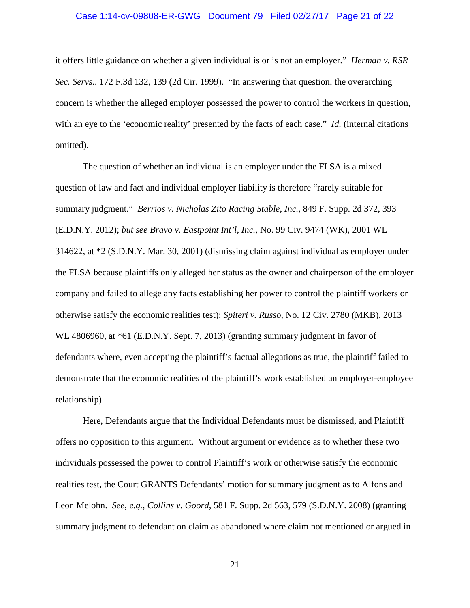# Case 1:14-cv-09808-ER-GWG Document 79 Filed 02/27/17 Page 21 of 22

it offers little guidance on whether a given individual is or is not an employer." *Herman v. RSR Sec. Servs*., 172 F.3d 132, 139 (2d Cir. 1999). "In answering that question, the overarching concern is whether the alleged employer possessed the power to control the workers in question, with an eye to the 'economic reality' presented by the facts of each case." *Id.* (internal citations omitted).

The question of whether an individual is an employer under the FLSA is a mixed question of law and fact and individual employer liability is therefore "rarely suitable for summary judgment." *Berrios v. Nicholas Zito Racing Stable, Inc.*, 849 F. Supp. 2d 372, 393 (E.D.N.Y. 2012); *but see Bravo v. Eastpoint Int'l, Inc.*, No. 99 Civ. 9474 (WK), 2001 WL 314622, at \*2 (S.D.N.Y. Mar. 30, 2001) (dismissing claim against individual as employer under the FLSA because plaintiffs only alleged her status as the owner and chairperson of the employer company and failed to allege any facts establishing her power to control the plaintiff workers or otherwise satisfy the economic realities test); *Spiteri v. Russo*, No. 12 Civ. 2780 (MKB), 2013 WL 4806960, at  $*61$  (E.D.N.Y. Sept. 7, 2013) (granting summary judgment in favor of defendants where, even accepting the plaintiff's factual allegations as true, the plaintiff failed to demonstrate that the economic realities of the plaintiff's work established an employer-employee relationship).

Here, Defendants argue that the Individual Defendants must be dismissed, and Plaintiff offers no opposition to this argument. Without argument or evidence as to whether these two individuals possessed the power to control Plaintiff's work or otherwise satisfy the economic realities test, the Court GRANTS Defendants' motion for summary judgment as to Alfons and Leon Melohn. *See, e.g., Collins v. Goord*, 581 F. Supp. 2d 563, 579 (S.D.N.Y. 2008) (granting summary judgment to defendant on claim as abandoned where claim not mentioned or argued in